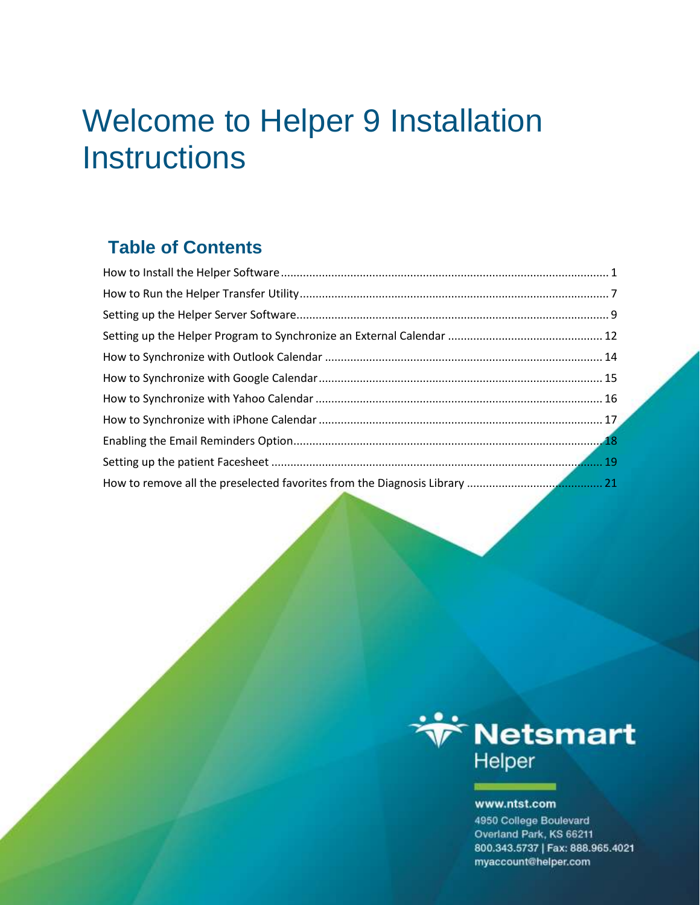## Welcome to Helper 9 Installation **Instructions**

### **Table of Contents**



#### www.ntst.com

4950 College Boulevard Overland Park, KS 66211 800.343.5737 | Fax: 888.965.4021 myaccount@helper.com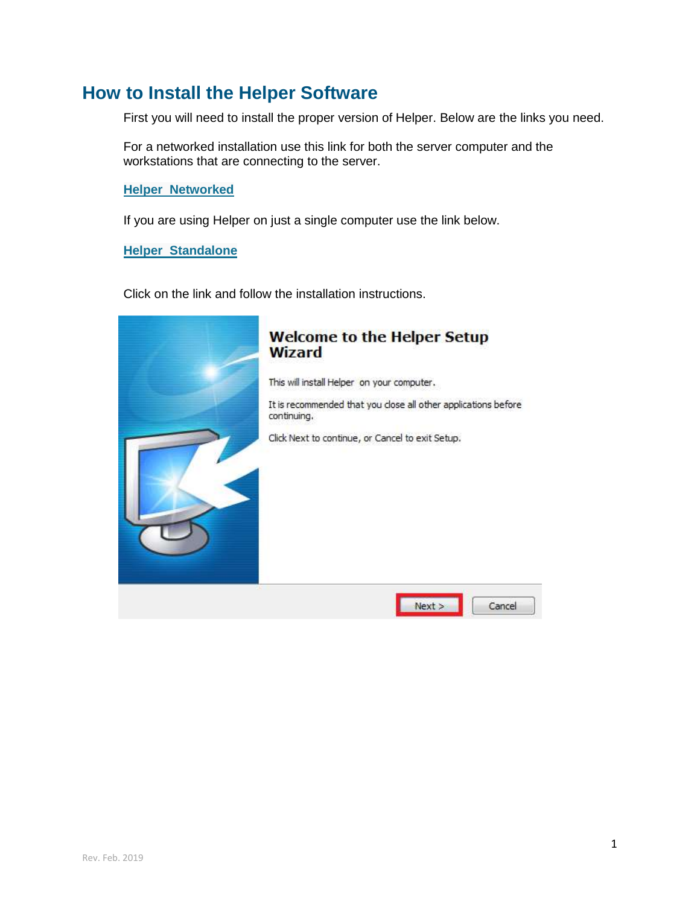### <span id="page-1-0"></span>**How to Install the Helper Software**

First you will need to install the proper version of Helper. Below are the links you need.

For a networked installation use this link for both the server computer and the workstations that are connecting to the server.

**[Helper Networked](http://support.helper.com/down/upgrade/action.jsp?file_name=HNET)**

If you are using Helper on just a single computer use the link below.

**[Helper Standalone](http://support.helper.com/down/upgrade/action.jsp?file_name=HST)**

Click on the link and follow the installation instructions.

# **Welcome to the Helper Setup Wizard** This will install Helper on your computer. It is recommended that you close all other applications before continuing. Click Next to continue, or Cancel to exit Setup.  $Next >$ Cancel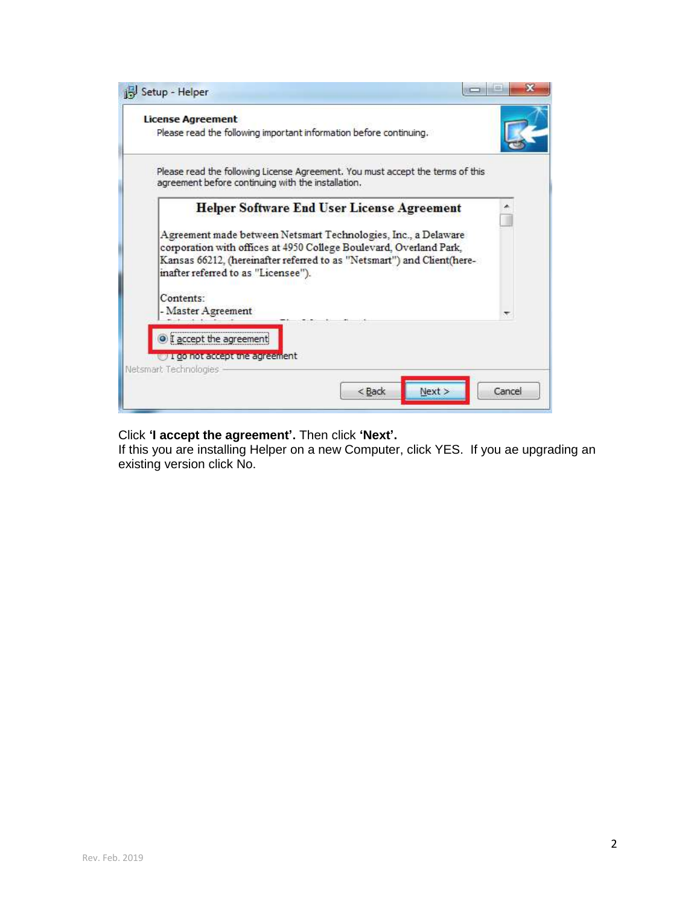| Setup - Helper                                                                                                                                                                                                                                                                                             |        |
|------------------------------------------------------------------------------------------------------------------------------------------------------------------------------------------------------------------------------------------------------------------------------------------------------------|--------|
| <b>License Agreement</b><br>Please read the following important information before continuing.                                                                                                                                                                                                             |        |
| Please read the following License Agreement. You must accept the terms of this<br>agreement before continuing with the installation.                                                                                                                                                                       |        |
| <b>Helper Software End User License Agreement</b><br>Agreement made between Netsmart Technologies, Inc., a Delaware<br>corporation with offices at 4950 College Boulevard, Overland Park,<br>Kansas 66212, (hereinafter referred to as "Netsmart") and Client(here-<br>inafter referred to as "Licensee"). |        |
| Contents:<br>- Master Agreement                                                                                                                                                                                                                                                                            |        |
| <sup>o</sup> I accept the agreement<br>UI do not accept the agreement<br>Netsmart Technologies                                                                                                                                                                                                             |        |
| $<$ Back<br>Next >                                                                                                                                                                                                                                                                                         | Cancel |

#### Click **'I accept the agreement'.** Then click **'Next'.**

If this you are installing Helper on a new Computer, click YES. If you ae upgrading an existing version click No.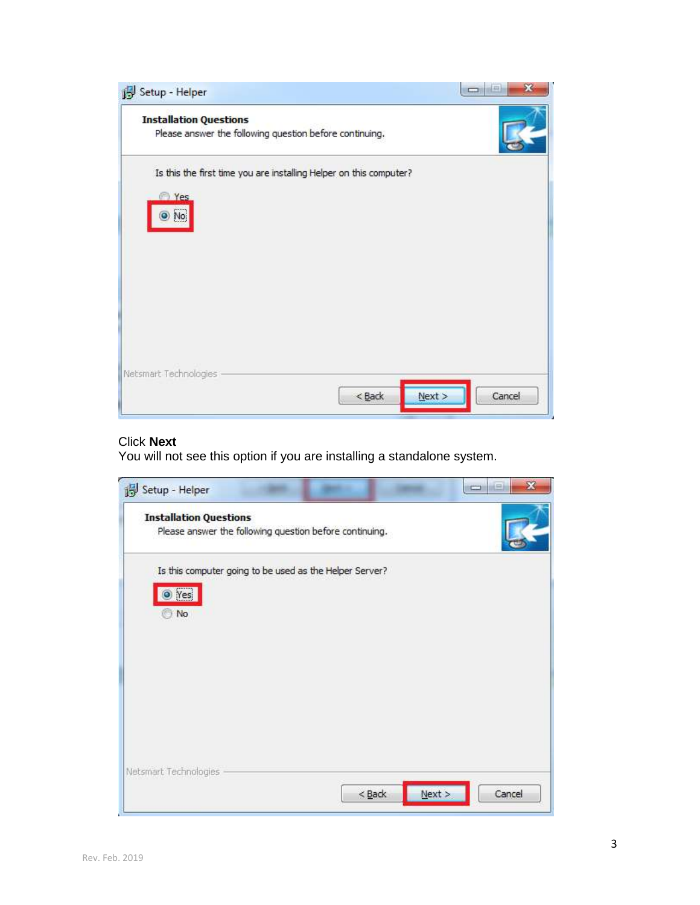| Setup - Helper                                                                                         | $-444$           |
|--------------------------------------------------------------------------------------------------------|------------------|
| <b>Installation Questions</b><br>Please answer the following question before continuing.               |                  |
| Is this the first time you are installing Helper on this computer?<br><sup>2</sup> Yes<br>بسببر<br>No. |                  |
|                                                                                                        |                  |
| Netsmart Technologies<br>$<$ Back                                                                      | Next ><br>Cancel |

#### Click **Next**

You will not see this option if you are installing a standalone system.

| <b>Installation Questions</b>                           |  |  |
|---------------------------------------------------------|--|--|
| Please answer the following question before continuing. |  |  |
| Is this computer going to be used as the Helper Server? |  |  |
| O Yes                                                   |  |  |
| No                                                      |  |  |
|                                                         |  |  |
|                                                         |  |  |
|                                                         |  |  |
|                                                         |  |  |
|                                                         |  |  |
|                                                         |  |  |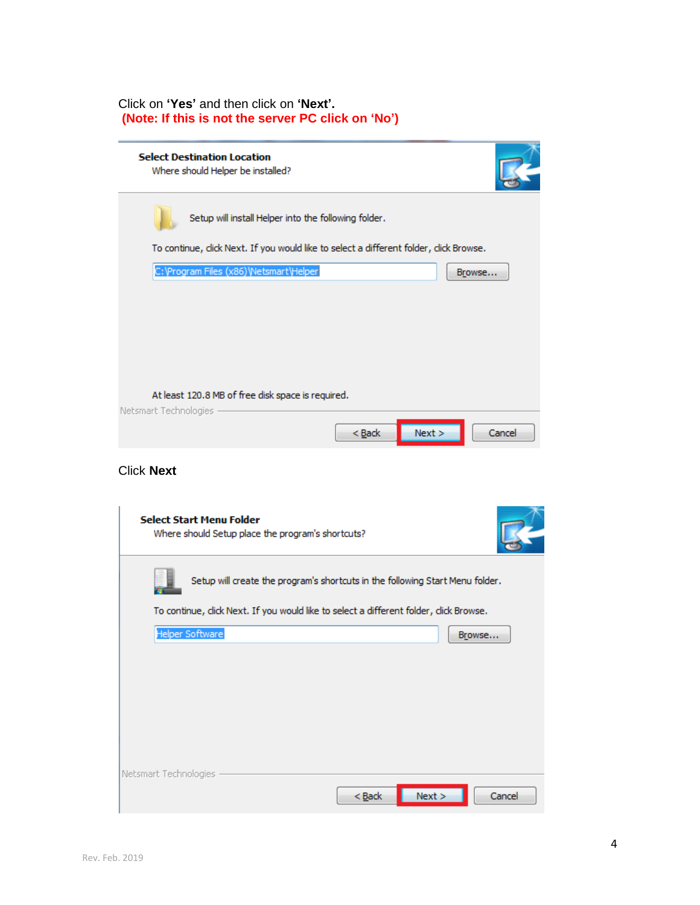#### Click on **'Yes'** and then click on **'Next'. (Note: If this is not the server PC click on 'No')**

| <b>Select Destination Location</b><br>Where should Helper be installed?                |                    |        |
|----------------------------------------------------------------------------------------|--------------------|--------|
| Setup will install Helper into the following folder.                                   |                    |        |
| To continue, click Next. If you would like to select a different folder, click Browse. |                    |        |
| C: \Program Files (x86) \Netsmart\Helper                                               |                    | Browse |
| At least 120.8 MB of free disk space is required.<br>Netsmart Technologies             |                    |        |
|                                                                                        | Next ><br>$<$ Back | Cancel |
| <b>Click Next</b>                                                                      |                    |        |
| <b>Select Start Menu Folder</b><br>Where should Setup place the program's shortcuts?   |                    |        |
| Setup will create the program's shortcuts in the following Start Menu folder.          |                    |        |
| To continue, click Next. If you would like to select a different folder, click Browse. |                    |        |
| <b>Helper Software</b>                                                                 |                    | Browse |
|                                                                                        |                    |        |
| Netsmart Technologies                                                                  |                    |        |
|                                                                                        | Next<br>$<$ Back   | Cancel |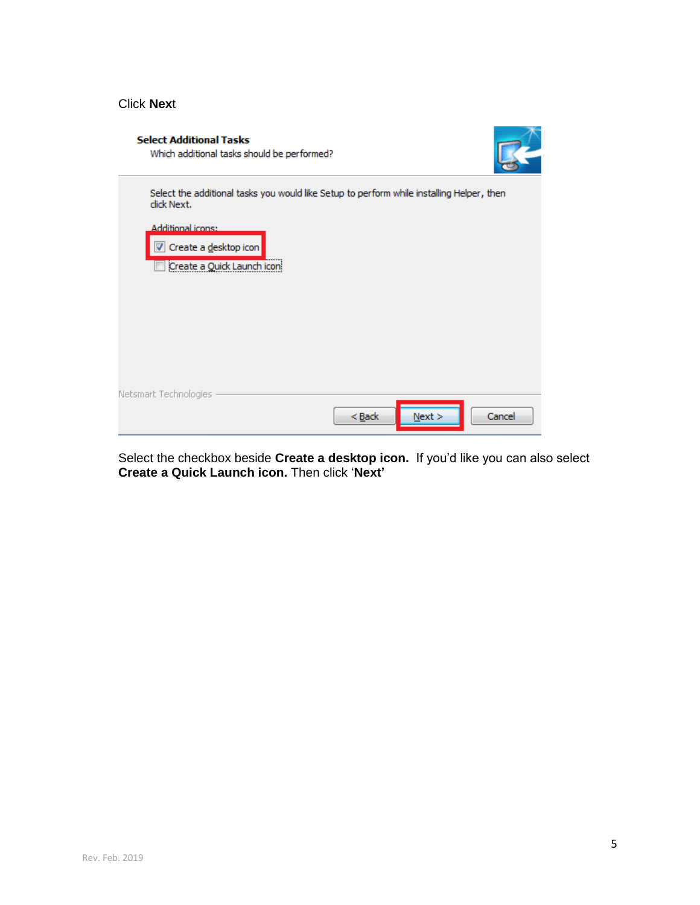#### Click **Nex**t

| <b>Select Additional Tasks</b><br>Which additional tasks should be performed?                                                                                                               |        |
|---------------------------------------------------------------------------------------------------------------------------------------------------------------------------------------------|--------|
| Select the additional tasks you would like Setup to perform while installing Helper, then<br>click Next.<br><b>Additional icons:</b><br>Create a desktop icon<br>Create a Quick Launch icon |        |
| Netsmart Technologies<br>$Back$<br>Next >                                                                                                                                                   | Cancel |

Select the checkbox beside **Create a desktop icon.** If you'd like you can also select **Create a Quick Launch icon.** Then click '**Next'**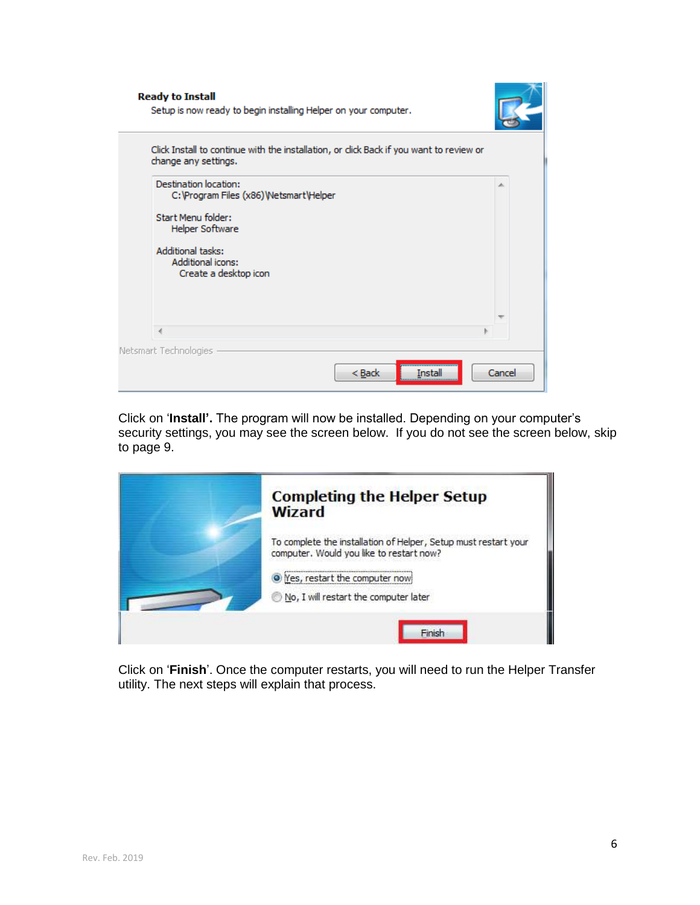| <b>Ready to Install</b>                       | Setup is now ready to begin installing Helper on your computer. |                                                                                         |        |
|-----------------------------------------------|-----------------------------------------------------------------|-----------------------------------------------------------------------------------------|--------|
| change any settings.                          |                                                                 | Click Install to continue with the installation, or click Back if you want to review or |        |
| Destination location:                         | C: \Program Files (x86) \Netsmart\Helper                        |                                                                                         | ∸      |
| Start Menu folder:<br>Helper Software         |                                                                 |                                                                                         |        |
| <b>Additional tasks:</b><br>Additional icons: | Create a desktop icon                                           |                                                                                         |        |
|                                               |                                                                 |                                                                                         |        |
|                                               |                                                                 |                                                                                         |        |
| Netsmart Technologies                         |                                                                 | < Back<br>nstal                                                                         | Cancel |

Click on '**Install'.** The program will now be installed. Depending on your computer's security settings, you may see the screen below. If you do not see the screen below, skip to page 9.



Click on '**Finish**'. Once the computer restarts, you will need to run the Helper Transfer utility. The next steps will explain that process.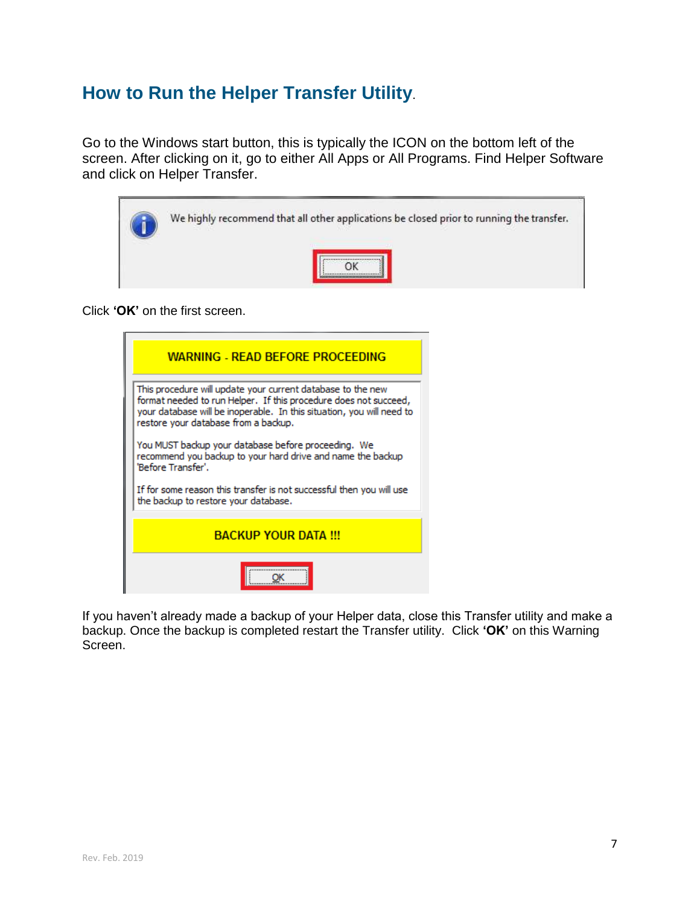### <span id="page-7-0"></span>**How to Run the Helper Transfer Utility**.

Go to the Windows start button, this is typically the ICON on the bottom left of the screen. After clicking on it, go to either All Apps or All Programs. Find Helper Software and click on Helper Transfer.

| We highly recommend that all other applications be closed prior to running the transfer. |
|------------------------------------------------------------------------------------------|
|                                                                                          |

Click **'OK'** on the first screen.



If you haven't already made a backup of your Helper data, close this Transfer utility and make a backup. Once the backup is completed restart the Transfer utility. Click **'OK'** on this Warning Screen.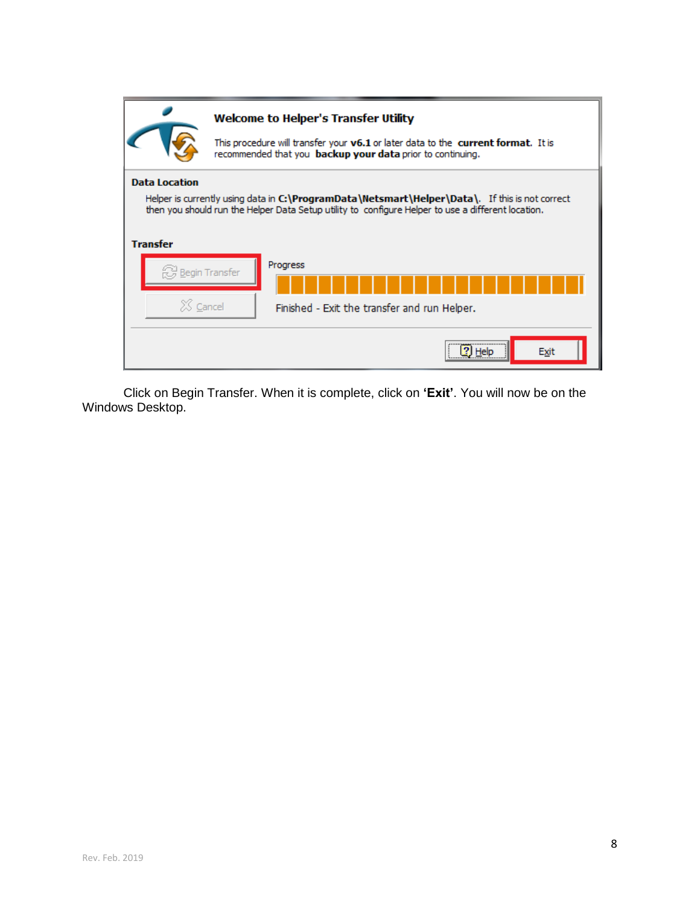|                                         | <b>Welcome to Helper's Transfer Utility</b><br>This procedure will transfer your v6.1 or later data to the current format. It is<br>recommended that you backup your data prior to continuing.       |
|-----------------------------------------|------------------------------------------------------------------------------------------------------------------------------------------------------------------------------------------------------|
| <b>Data Location</b><br><b>Transfer</b> | Helper is currently using data in C:\ProgramData\Netsmart\Helper\Data\. If this is not correct<br>then you should run the Helper Data Setup utility to configure Helper to use a different location. |
| $X$ Cancel                              | Progress<br><b>Begin Transfer</b><br>Finished - Exit the transfer and run Helper.                                                                                                                    |
|                                         | Exit<br>Help                                                                                                                                                                                         |

Click on Begin Transfer. When it is complete, click on **'Exit'**. You will now be on the Windows Desktop.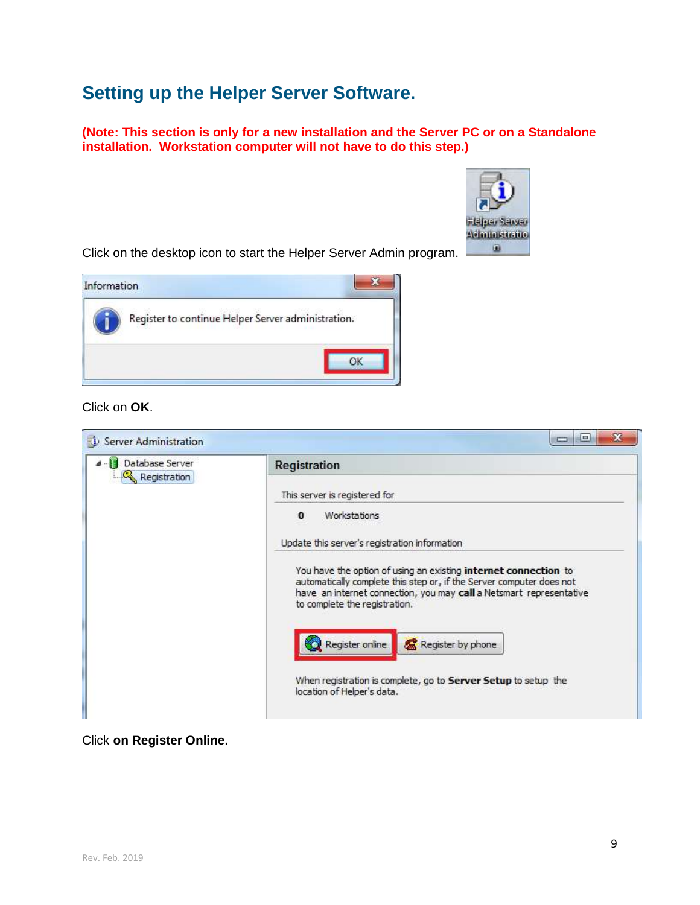### <span id="page-9-0"></span>**Setting up the Helper Server Software.**

**(Note: This section is only for a new installation and the Server PC or on a Standalone installation. Workstation computer will not have to do this step.)**



Click on the desktop icon to start the Helper Server Admin program.



#### Click on **OK**.

| Database Server<br>Registration | Registration                                                                                                                                                                                                                                    |
|---------------------------------|-------------------------------------------------------------------------------------------------------------------------------------------------------------------------------------------------------------------------------------------------|
|                                 | This server is registered for                                                                                                                                                                                                                   |
|                                 | Workstations<br>$\bf{0}$                                                                                                                                                                                                                        |
|                                 | Update this server's registration information                                                                                                                                                                                                   |
|                                 | You have the option of using an existing internet connection to<br>automatically complete this step or, if the Server computer does not<br>have an internet connection, you may call a Netsmart representative<br>to complete the registration. |
|                                 | Register online<br>Register by phone                                                                                                                                                                                                            |
|                                 |                                                                                                                                                                                                                                                 |

#### Click **on Register Online.**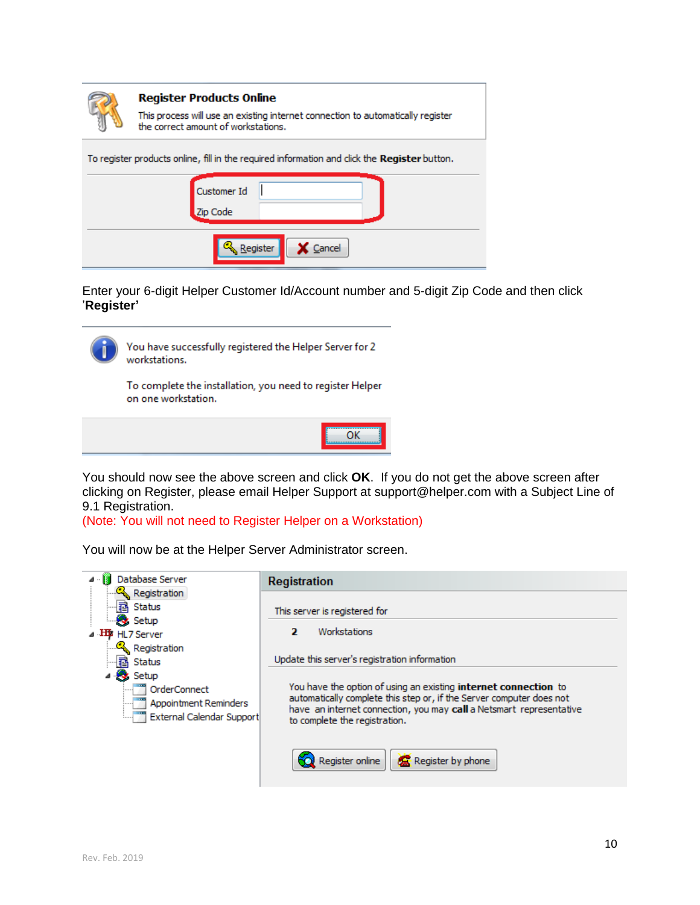| <b>Register Products Online</b><br>This process will use an existing internet connection to automatically register<br>the correct amount of workstations. |
|-----------------------------------------------------------------------------------------------------------------------------------------------------------|
| To register products online, fill in the required information and dick the <b>Register</b> button.                                                        |
| Customer Id<br>Zip Code                                                                                                                                   |
| Cancel<br>Register                                                                                                                                        |

Enter your 6-digit Helper Customer Id/Account number and 5-digit Zip Code and then click '**Register'**



You have successfully registered the Helper Server for 2 workstations.

To complete the installation, you need to register Helper on one workstation.



You should now see the above screen and click **OK**. If you do not get the above screen after clicking on Register, please email Helper Support at support@helper.com with a Subject Line of 9.1 Registration.

(Note: You will not need to Register Helper on a Workstation)

You will now be at the Helper Server Administrator screen.

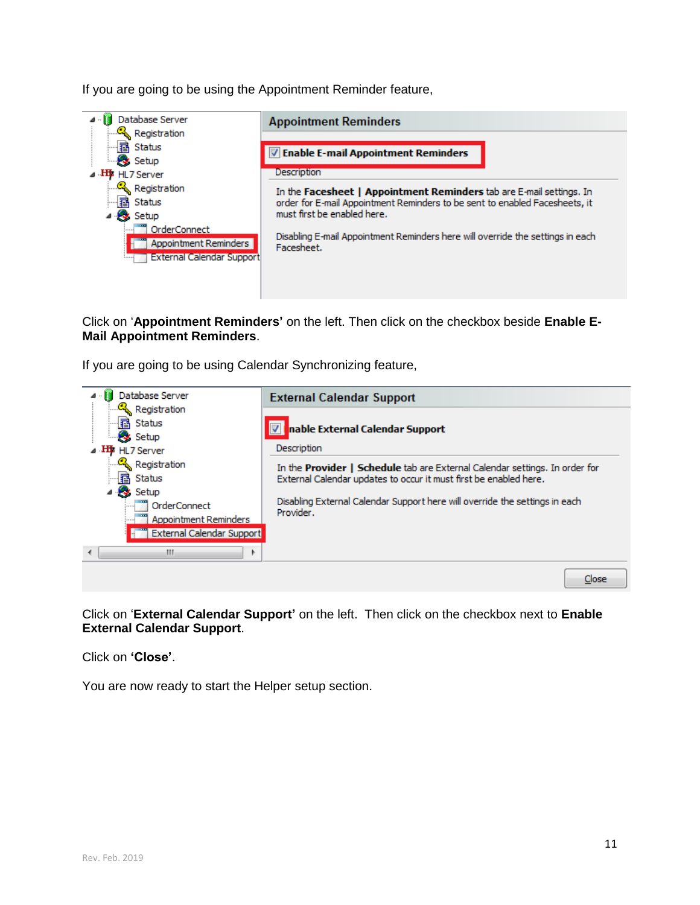If you are going to be using the Appointment Reminder feature,



#### Click on '**Appointment Reminders'** on the left. Then click on the checkbox beside **Enable E-Mail Appointment Reminders**.

If you are going to be using Calendar Synchronizing feature,



Click on '**External Calendar Support'** on the left. Then click on the checkbox next to **Enable External Calendar Support**.

Click on **'Close'**.

You are now ready to start the Helper setup section.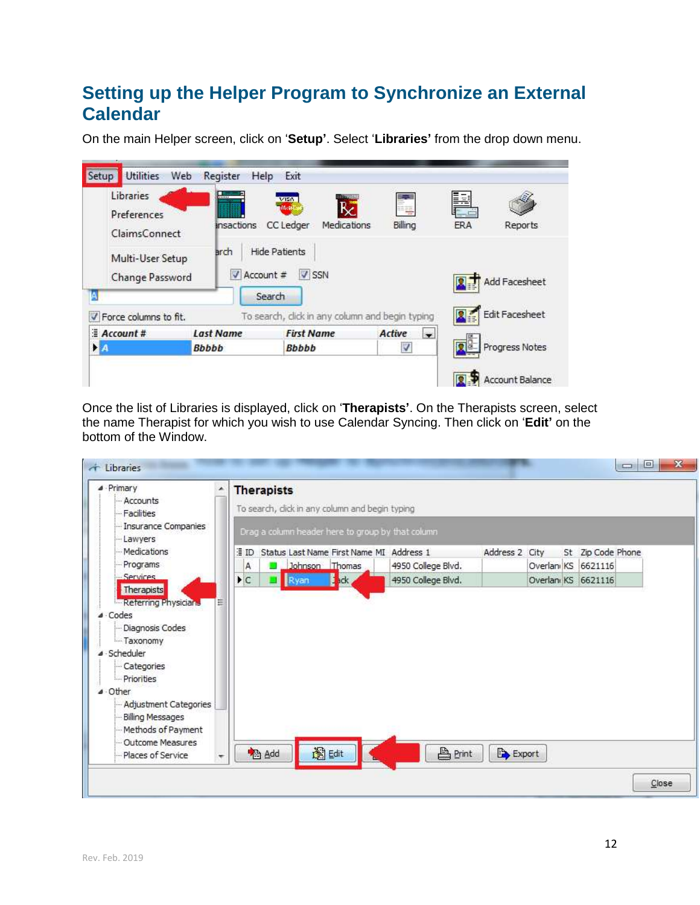### <span id="page-12-0"></span>**Setting up the Helper Program to Synchronize an External Calendar**

On the main Helper screen, click on '**Setup'**. Select '**Libraries'** from the drop down menu.

| Libraries<br>Preferences<br>ClaimsConnect<br>Multi-User Setup<br>Change Password<br>А | π<br><b>.</b><br><b>Insactions</b><br>arch<br>V Account # | <b>HITTERINI</b><br>VISA<br>R<br><b>MARH</b><br>CC Ledger<br>Medications<br>Hide Patients<br>$V$ SSN<br>Search | 萼<br>Billing     | Þ<br><b>ERA</b> | Reports<br>Add Facesheet |
|---------------------------------------------------------------------------------------|-----------------------------------------------------------|----------------------------------------------------------------------------------------------------------------|------------------|-----------------|--------------------------|
| Force columns to fit.<br>$\mathcal{L}$                                                |                                                           | To search, click in any column and begin typing                                                                |                  |                 | Edit Facesheet           |
| $#$ Account #                                                                         | <b>Last Name</b>                                          | <b>First Name</b>                                                                                              | Active<br>$\sim$ |                 |                          |
|                                                                                       | <b>Bbbbb</b>                                              | <b>Bbbbb</b>                                                                                                   | $\checkmark$     |                 | Progress Notes           |

Once the list of Libraries is displayed, click on '**Therapists'**. On the Therapists screen, select the name Therapist for which you wish to use Calendar Syncing. Then click on '**Edit'** on the bottom of the Window.

| $\triangle$ - Primary<br>۸<br>- Accounts                                                                                                         | <b>Therapists</b>                              |                                                   |           |                |                                          |                |  |  |                     |  |
|--------------------------------------------------------------------------------------------------------------------------------------------------|------------------------------------------------|---------------------------------------------------|-----------|----------------|------------------------------------------|----------------|--|--|---------------------|--|
| <b>Facilities</b>                                                                                                                                | To search, dick in any column and begin typing |                                                   |           |                |                                          |                |  |  |                     |  |
| - Insurance Companies<br>Lawyers                                                                                                                 |                                                | Drag a column header here to group by that column |           |                |                                          |                |  |  |                     |  |
| - Medications                                                                                                                                    | ∃ ID.                                          |                                                   |           |                | Status Last Name First Name MI Address 1 | Address 2 City |  |  | St Zip Code Phone   |  |
| Programs                                                                                                                                         | А                                              |                                                   |           | Johnson Thomas | 4950 College Blvd.                       |                |  |  | Overlanı KS 6621116 |  |
| -Services<br>Therapists                                                                                                                          | $\blacktriangleright$ C                        |                                                   | Ryan dack |                | 4950 College Blvd.                       |                |  |  | Overlanı KS 6621116 |  |
| - Taxonomy                                                                                                                                       |                                                |                                                   |           |                |                                          |                |  |  |                     |  |
| Scheduler<br>- Categories<br>- Priorities<br>Other<br>Adjustment Categories<br><b>Billing Messages</b><br>Methods of Payment<br>Outcome Measures |                                                |                                                   |           | 图Edit          | <b>凸</b> Print                           |                |  |  |                     |  |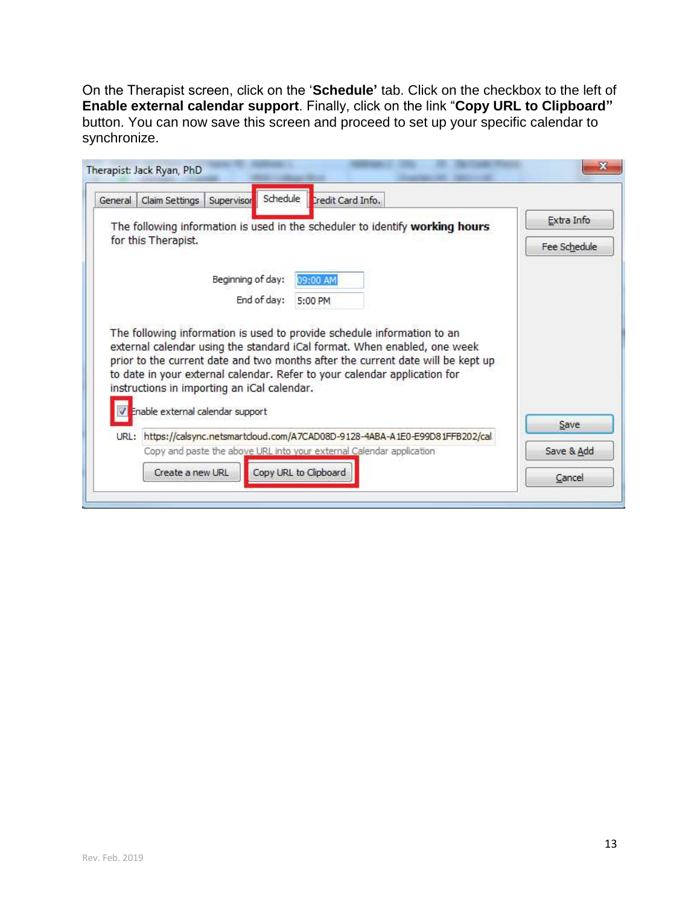On the Therapist screen, click on the '**Schedule'** tab. Click on the checkbox to the left of **Enable external calendar support**. Finally, click on the link "**Copy URL to Clipboard"**  button. You can now save this screen and proceed to set up your specific calendar to synchronize.

|      | General Claim Settings                                                          | Supervisor        | Schedule    | Credit Card Info.                                                                                                                                                                                                                        |                            |
|------|---------------------------------------------------------------------------------|-------------------|-------------|------------------------------------------------------------------------------------------------------------------------------------------------------------------------------------------------------------------------------------------|----------------------------|
|      | for this Therapist.                                                             |                   |             | The following information is used in the scheduler to identify working hours                                                                                                                                                             | Extra Info<br>Fee Schedule |
|      |                                                                                 | Beginning of day: |             | 09:00 AM                                                                                                                                                                                                                                 |                            |
|      |                                                                                 |                   | End of day: | 5:00 PM                                                                                                                                                                                                                                  |                            |
|      |                                                                                 |                   |             | The following information is used to provide schedule information to an                                                                                                                                                                  |                            |
|      | instructions in importing an iCal calendar.<br>Enable external calendar support |                   |             | external calendar using the standard iCal format. When enabled, one week<br>prior to the current date and two months after the current date will be kept up<br>to date in your external calendar. Refer to your calendar application for |                            |
| URL: |                                                                                 |                   |             | https://calsync.netsmartcloud.com/A7CAD08D-9128-4ABA-A1E0-E99D81FFB202/cal                                                                                                                                                               | Save                       |
|      |                                                                                 |                   |             | Copy and paste the above URL into your external Calendar application                                                                                                                                                                     | Save & Add                 |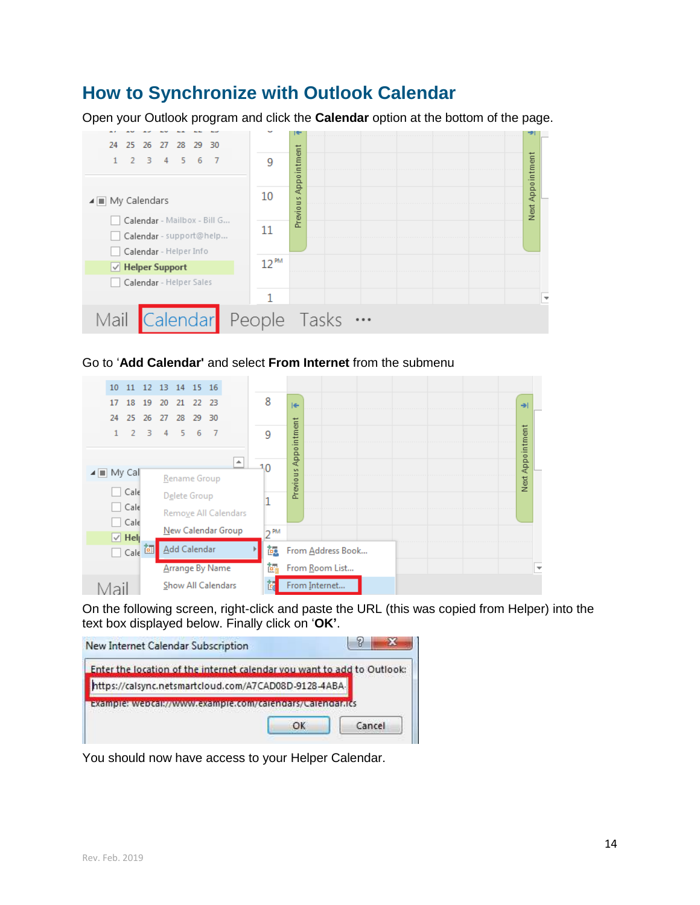### <span id="page-14-0"></span>**How to Synchronize with Outlook Calendar**

Open your Outlook program and click the **Calendar** option at the bottom of the page.



#### Go to '**Add Calendar'** and select **From Internet** from the submenu



On the following screen, right-click and paste the URL (this was copied from Helper) into the text box displayed below. Finally click on '**OK'**.



You should now have access to your Helper Calendar.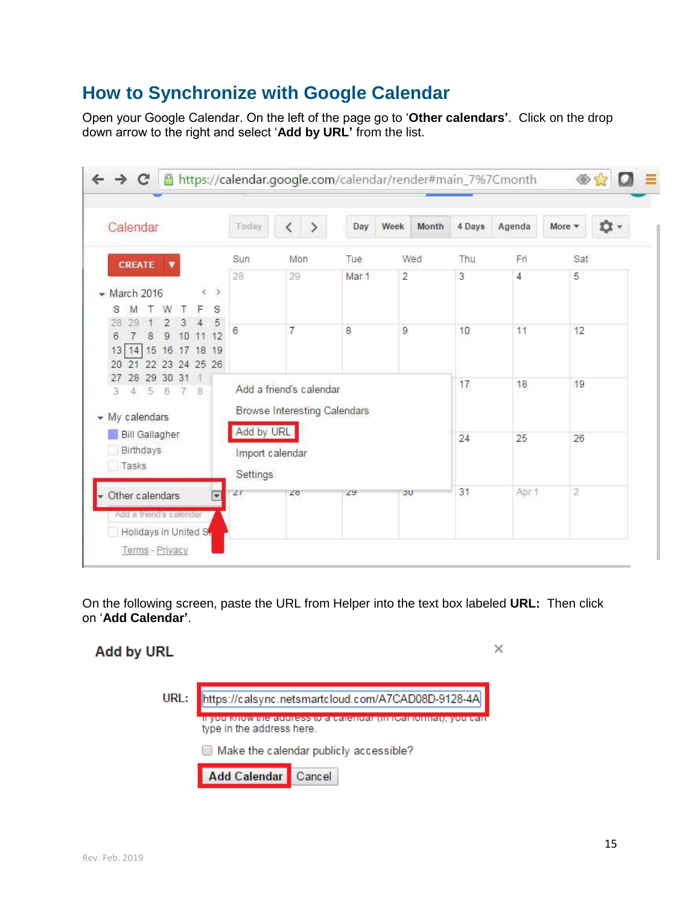### <span id="page-15-0"></span>**How to Synchronize with Google Calendar**

Open your Google Calendar. On the left of the page go to '**Other calendars'**. Click on the drop down arrow to the right and select '**Add by URL'** from the list.

| Calendar                                                                                                                | Today                                     |                                                                | Day   | Week | Month | 4 Days | Agenda | More *         | <b>立、</b> |
|-------------------------------------------------------------------------------------------------------------------------|-------------------------------------------|----------------------------------------------------------------|-------|------|-------|--------|--------|----------------|-----------|
| CREATE                                                                                                                  | Sun                                       | Mon                                                            | Tue   |      | Wed   | Thu    | Fri    | Sat            |           |
| $\rightarrow$<br>$\sqrt{M}$ March 2016<br>S<br>s<br>F                                                                   | 28                                        | 29                                                             | Mar 1 | 2    |       | 3      | 4      | 5              |           |
| 5<br>$\overline{9}$<br>8<br>12<br>6<br>10<br>11<br>15<br>16<br>19<br>18<br>17<br>13<br>14<br>22 23 24 25 26<br>20<br>21 | 6                                         | $\overline{7}$                                                 | 8     | 9    |       | 10     | 11     | 12             |           |
| 29 30 31<br>28<br>27<br>5<br>6<br>B<br>3<br>$\tau$<br>4<br>$\blacktriangleright$ My calendars                           |                                           | Add a friend's calendar<br><b>Browse Interesting Calendars</b> |       |      |       | 17     | 18     | 19             |           |
| <b>Bill Gallagher</b><br><b>Birthdays</b><br>Tasks                                                                      | Add by URL<br>Import calendar<br>Settings |                                                                |       |      |       | 24     | 25     | 26             |           |
| Other calendars<br>⋤                                                                                                    | 21                                        | 28                                                             | 29    | 50   |       | 31     | Apr 1  | $\overline{2}$ |           |

On the following screen, paste the URL from Helper into the text box labeled **URL:** Then click on '**Add Calendar'**.

× **Add by URL** URL: https://calsync.netsmartcloud.com/A7CAD08D-9128-4A <mark>iryou miow the address to a calendar (in itsal lomial), you can</mark> type in the address here. Make the calendar publicly accessible? **Add Calendar** Cancel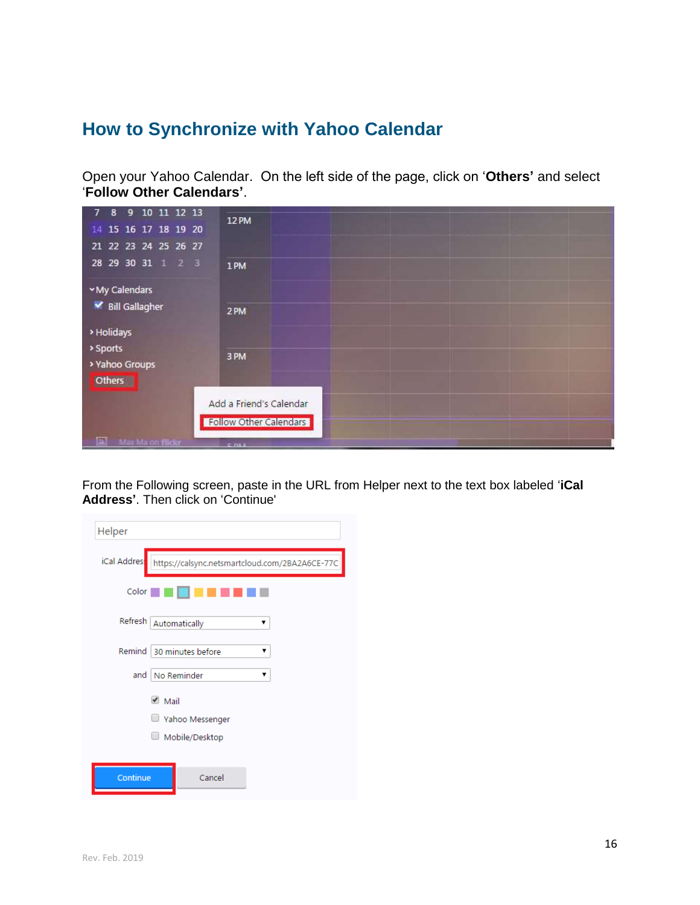### <span id="page-16-0"></span>**How to Synchronize with Yahoo Calendar**

Open your Yahoo Calendar. On the left side of the page, click on '**Others'** and select '**Follow Other Calendars'**.

| 8 9 10 11 12 13<br>7 <sup>7</sup><br>15 16 17 18 19 20<br>14<br>21 22 23 24 25 26 27 | <b>12 PM</b>                                                     |
|--------------------------------------------------------------------------------------|------------------------------------------------------------------|
| 28 29 30 31 1 2 3<br>My Calendars                                                    | 1PM                                                              |
| Bill Gallagher<br>> Holidays<br>> Sports                                             | 2PM                                                              |
| > Yahoo Groups<br>Others                                                             | 3 PM                                                             |
| ЕÑ<br>Max Ma on flickr                                                               | Add a Friend's Calendar<br>Follow Other Calendars<br><b>CINA</b> |

From the Following screen, paste in the URL from Helper next to the text box labeled '**iCal Address'**. Then click on 'Continue'

| Helper       |                                                |  |  |  |  |  |  |
|--------------|------------------------------------------------|--|--|--|--|--|--|
| iCal Addres: | https://calsync.netsmartcloud.com/2BA2A6CE-77C |  |  |  |  |  |  |
| Color        |                                                |  |  |  |  |  |  |
| Refresh      | Automatically<br>۷                             |  |  |  |  |  |  |
| Remind       | 30 minutes before<br>▼                         |  |  |  |  |  |  |
| and          | No Reminder<br>▼                               |  |  |  |  |  |  |
|              | $\blacksquare$ Mail                            |  |  |  |  |  |  |
|              | Yahoo Messenger                                |  |  |  |  |  |  |
|              | Mobile/Desktop                                 |  |  |  |  |  |  |
|              |                                                |  |  |  |  |  |  |
| Continue     | Cancel                                         |  |  |  |  |  |  |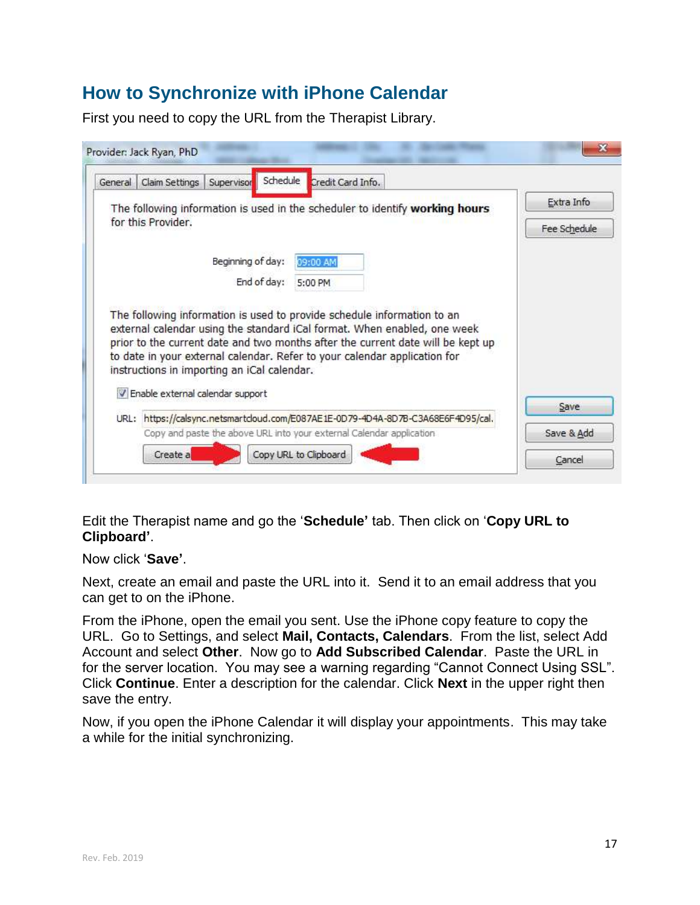### <span id="page-17-0"></span>**How to Synchronize with iPhone Calendar**

First you need to copy the URL from the Therapist Library.

| Schedule<br>Supervisor<br>Credit Card Info.<br>General Claim Settings                                                                                                                                                                                                                                                                                              |              |
|--------------------------------------------------------------------------------------------------------------------------------------------------------------------------------------------------------------------------------------------------------------------------------------------------------------------------------------------------------------------|--------------|
| The following information is used in the scheduler to identify working hours                                                                                                                                                                                                                                                                                       | Extra Info   |
| for this Provider.                                                                                                                                                                                                                                                                                                                                                 | Fee Schedule |
| Beginning of day:<br>09:00 AM                                                                                                                                                                                                                                                                                                                                      |              |
| End of day:<br>5:00 PM                                                                                                                                                                                                                                                                                                                                             |              |
| The following information is used to provide schedule information to an<br>external calendar using the standard iCal format. When enabled, one week<br>prior to the current date and two months after the current date will be kept up<br>to date in your external calendar. Refer to your calendar application for<br>instructions in importing an iCal calendar. |              |
| V Enable external calendar support                                                                                                                                                                                                                                                                                                                                 | Save         |
| URL: https://calsync.netsmartcloud.com/E087AE1E-0D79-4D4A-8D7B-C3A68E6F4D95/cal.                                                                                                                                                                                                                                                                                   |              |
| Copy and paste the above URL into your external Calendar application<br>Create a<br>Copy URL to Clipboard                                                                                                                                                                                                                                                          | Save & Add   |

Edit the Therapist name and go the '**Schedule'** tab. Then click on '**Copy URL to Clipboard'**.

Now click '**Save'**.

Next, create an email and paste the URL into it. Send it to an email address that you can get to on the iPhone.

From the iPhone, open the email you sent. Use the iPhone copy feature to copy the URL. Go to Settings, and select **Mail, Contacts, Calendars**. From the list, select Add Account and select **Other**. Now go to **Add Subscribed Calendar**. Paste the URL in for the server location. You may see a warning regarding "Cannot Connect Using SSL". Click **Continue**. Enter a description for the calendar. Click **Next** in the upper right then save the entry.

Now, if you open the iPhone Calendar it will display your appointments. This may take a while for the initial synchronizing.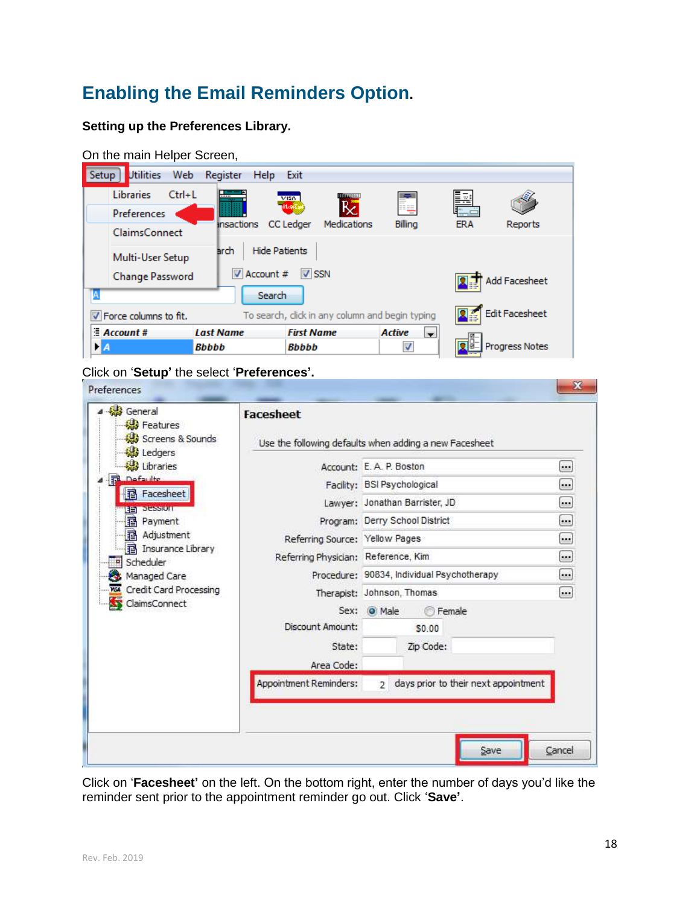### <span id="page-18-0"></span>**Enabling the Email Reminders Option.**

#### **Setting up the Preferences Library.**

| On the main Helper Screen,       |                                     |                                                 |                                 |            |                       |  |  |
|----------------------------------|-------------------------------------|-------------------------------------------------|---------------------------------|------------|-----------------------|--|--|
| <b>Utilities</b><br>Web<br>Setup | Register<br>Help                    | Exit                                            |                                 |            |                       |  |  |
| <b>Libraries</b><br>$Ctrl + L$   |                                     | <b>MAGNET</b><br>VISA.                          |                                 | Þ          |                       |  |  |
| Preferences                      |                                     | mare                                            |                                 |            |                       |  |  |
| <b>ClaimsConnect</b>             | insactions                          | CC Ledger<br>Medications                        | Billing                         | <b>ERA</b> | Reports               |  |  |
| Multi-User Setup                 | <b>Hide Patients</b><br><b>arch</b> |                                                 |                                 |            |                       |  |  |
| Change Password                  | Account #                           | V SSN                                           |                                 |            | Add Facesheet         |  |  |
| А                                | Search                              |                                                 |                                 |            |                       |  |  |
| V Force columns to fit.          |                                     | To search, click in any column and begin typing |                                 |            | <b>Edit Facesheet</b> |  |  |
| $\equiv$ Account #               | <b>Last Name</b>                    | <b>First Name</b>                               | <b>Active</b><br>$\blacksquare$ |            |                       |  |  |
| ÞА                               | <b>Bbbbb</b>                        | <b>Bbbbb</b>                                    |                                 |            | <b>Progress Notes</b> |  |  |

Click on '**Setup'** the select '**Preferences'.**

| Ledgers<br>Libraries<br><b>Defaulte</b><br><b>hacesheet</b>                                                                                                                              | Account: E.A. P. Boston                                                                           | Use the following defaults when adding a new Facesheet                                                                                                                                                           |                                                                                                                                                               |
|------------------------------------------------------------------------------------------------------------------------------------------------------------------------------------------|---------------------------------------------------------------------------------------------------|------------------------------------------------------------------------------------------------------------------------------------------------------------------------------------------------------------------|---------------------------------------------------------------------------------------------------------------------------------------------------------------|
| <b>STEPSHOLD</b><br>自当<br><b>B</b> Payment<br><b>图 Adjustment</b><br><b>B</b> Insurance Library<br>Scheduler<br>p.<br>Managed Care<br><b>NSI</b> Credit Card Processing<br>ClaimsConnect | Referring Source: Yellow Pages<br>Referring Physician: Reference, Kim<br>Sex:<br>Discount Amount: | Facility: BSI Psychological<br>Lawyer: Jonathan Barrister, JD<br>Program: Derry School District<br>Procedure: 90834, Individual Psychotherapy<br>Therapist: Johnson, Thomas<br><b>Female</b><br>O Male<br>\$0.00 | $\cdot$ .<br>$\begin{bmatrix} \cdot \end{bmatrix}$<br>$\Box$<br>$\boxed{\cdot \cdot \cdot }$<br>$\Box$<br>$\Box$<br>$\boxed{\cdots}$<br>$\left[\ldots\right]$ |
|                                                                                                                                                                                          | State:<br>Area Code:<br>Appointment Reminders:                                                    | Zip Code:<br>days prior to their next appointment<br>$\overline{2}$                                                                                                                                              |                                                                                                                                                               |

Click on '**Facesheet'** on the left. On the bottom right, enter the number of days you'd like the reminder sent prior to the appointment reminder go out. Click '**Save'**.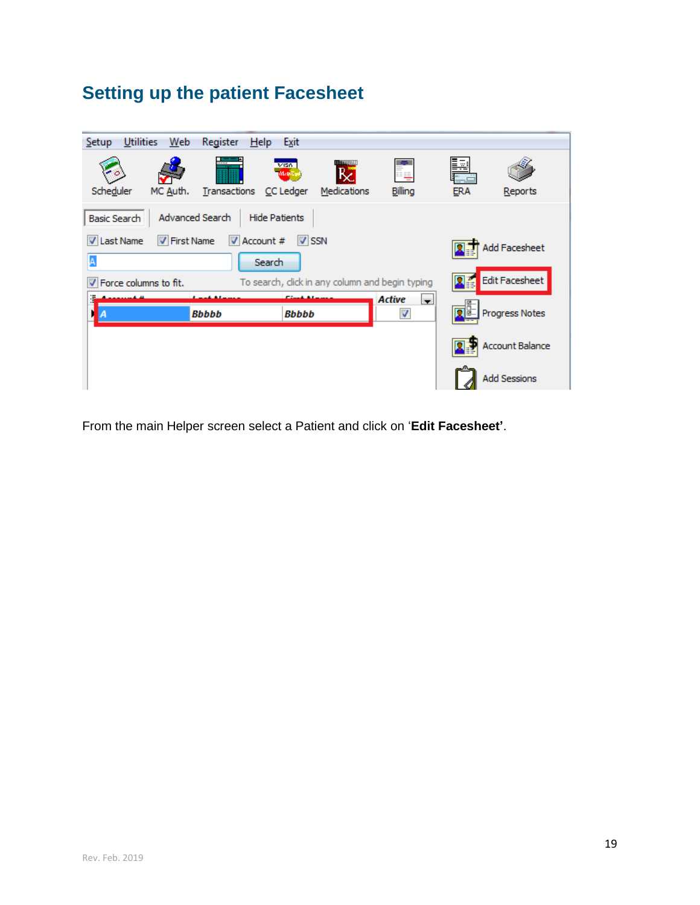## <span id="page-19-0"></span>**Setting up the patient Facesheet**

| Utilities<br>Web<br><b>Setup</b>          | Register<br>Help          | Exit                       |                                                 |                                                                      |                 |                        |
|-------------------------------------------|---------------------------|----------------------------|-------------------------------------------------|----------------------------------------------------------------------|-----------------|------------------------|
| Scheduler<br>MC Auth.                     | 1.1.1.1.1<br>Transactions | V150<br>Mants<br>CC Ledger | <b>UNITED RAIL</b><br>Medications               | ij<br>Billing                                                        | Þ<br><b>ERA</b> | Reports                |
| <b>Basic Search</b>                       | Advanced Search           | <b>Hide Patients</b>       |                                                 |                                                                      |                 |                        |
| <b>V</b> First Name<br><b>V</b> Last Name | $\triangledown$ Account # | $V$ SSN                    |                                                 |                                                                      |                 | <b>Add Facesheet</b>   |
| A                                         | Search                    |                            |                                                 |                                                                      |                 |                        |
| V Force columns to fit.                   |                           |                            | To search, click in any column and begin typing |                                                                      |                 | Edit Facesheet         |
| Ŧ<br>Α                                    | <b>Bbbbb</b>              | Bbbbb                      |                                                 | <b>Active</b><br>$\overline{\phantom{a}}$<br>$\overline{\mathsf{v}}$ |                 | Progress Notes         |
|                                           |                           |                            |                                                 |                                                                      |                 | <b>Account Balance</b> |
|                                           |                           |                            |                                                 |                                                                      |                 | <b>Add Sessions</b>    |

From the main Helper screen select a Patient and click on '**Edit Facesheet'**.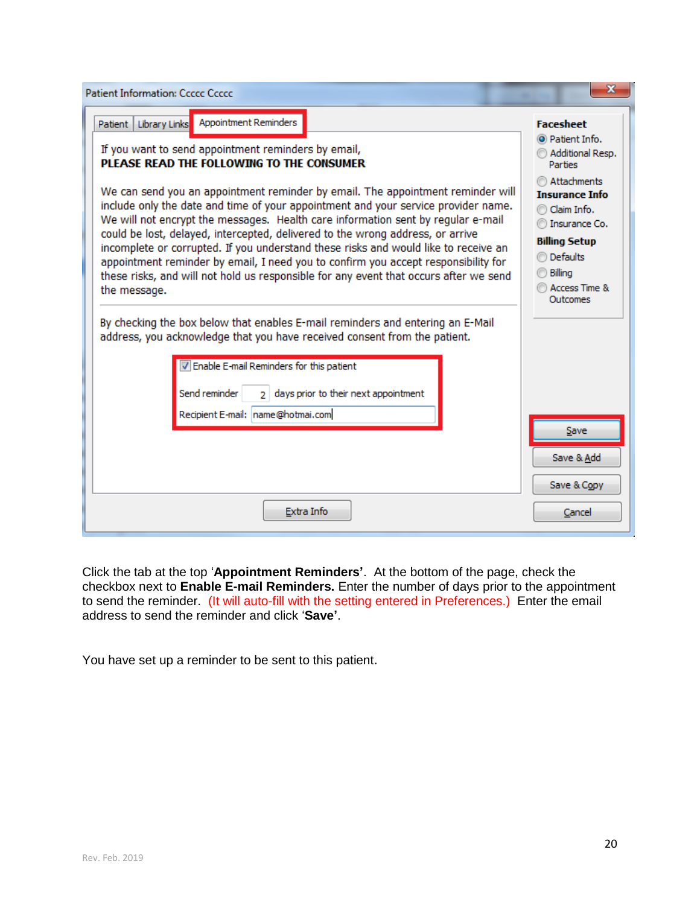| <b>Patient Information: Ccccc Ccccc</b>                                                                                                                                                                                                                                                                                                                                                                                                                                                                                                                                                                                                                                                                             | x                                                                                                                                                                  |
|---------------------------------------------------------------------------------------------------------------------------------------------------------------------------------------------------------------------------------------------------------------------------------------------------------------------------------------------------------------------------------------------------------------------------------------------------------------------------------------------------------------------------------------------------------------------------------------------------------------------------------------------------------------------------------------------------------------------|--------------------------------------------------------------------------------------------------------------------------------------------------------------------|
| Appointment Reminders<br>Library Links<br>Patient                                                                                                                                                                                                                                                                                                                                                                                                                                                                                                                                                                                                                                                                   | <b>Facesheet</b>                                                                                                                                                   |
| If you want to send appointment reminders by email,<br>PLEASE READ THE FOLLOWING TO THE CONSUMER                                                                                                                                                                                                                                                                                                                                                                                                                                                                                                                                                                                                                    | O Patient Info.<br>Additional Resp.<br><b>Parties</b>                                                                                                              |
| We can send you an appointment reminder by email. The appointment reminder will<br>include only the date and time of your appointment and your service provider name.<br>We will not encrypt the messages. Health care information sent by regular e-mail<br>could be lost, delayed, intercepted, delivered to the wrong address, or arrive<br>incomplete or corrupted. If you understand these risks and would like to receive an<br>appointment reminder by email, I need you to confirm you accept responsibility for<br>these risks, and will not hold us responsible for any event that occurs after we send<br>the message.<br>By checking the box below that enables E-mail reminders and entering an E-Mail | Attachments<br><b>Insurance Info</b><br>Claim Info.<br>Insurance Co.<br><b>Billing Setup</b><br><b>Defaults</b><br>Billing<br><b>Access Time &amp;</b><br>Outcomes |
| address, you acknowledge that you have received consent from the patient.<br>T Enable E-mail Reminders for this patient<br>days prior to their next appointment<br>Send reminder<br>Recipient E-mail: name@hotmai.com                                                                                                                                                                                                                                                                                                                                                                                                                                                                                               | Save<br>Save & Add                                                                                                                                                 |
| Extra Info                                                                                                                                                                                                                                                                                                                                                                                                                                                                                                                                                                                                                                                                                                          | Save & Copy<br>Cancel                                                                                                                                              |

Click the tab at the top '**Appointment Reminders'**. At the bottom of the page, check the checkbox next to **Enable E-mail Reminders.** Enter the number of days prior to the appointment to send the reminder. (It will auto-fill with the setting entered in Preferences.) Enter the email address to send the reminder and click '**Save'**.

You have set up a reminder to be sent to this patient.